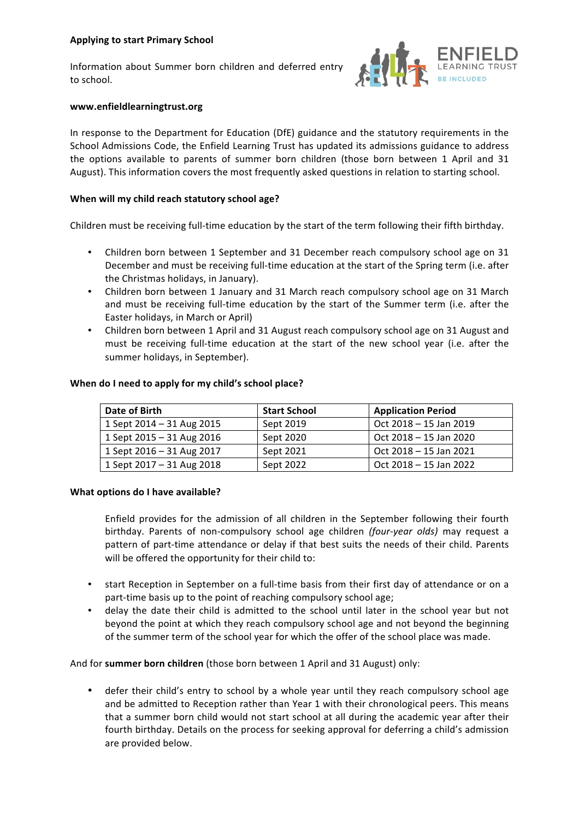Information about Summer born children and deferred entry to school.



# **www.enfieldlearningtrust.org**

In response to the Department for Education (DfE) guidance and the statutory requirements in the School Admissions Code, the Enfield Learning Trust has updated its admissions guidance to address the options available to parents of summer born children (those born between 1 April and 31 August). This information covers the most frequently asked questions in relation to starting school.

## When will my child reach statutory school age?

Children must be receiving full-time education by the start of the term following their fifth birthday.

- Children born between 1 September and 31 December reach compulsory school age on 31 December and must be receiving full-time education at the start of the Spring term (i.e. after the Christmas holidays, in January).
- Children born between 1 January and 31 March reach compulsory school age on 31 March and must be receiving full-time education by the start of the Summer term (i.e. after the Easter holidays, in March or April)
- Children born between 1 April and 31 August reach compulsory school age on 31 August and must be receiving full-time education at the start of the new school year (i.e. after the summer holidays, in September).

| Date of Birth             | <b>Start School</b> | <b>Application Period</b> |
|---------------------------|---------------------|---------------------------|
| 1 Sept 2014 - 31 Aug 2015 | Sept 2019           | Oct 2018 - 15 Jan 2019    |
| 1 Sept 2015 - 31 Aug 2016 | Sept 2020           | Oct 2018 - 15 Jan 2020    |
| 1 Sept 2016 – 31 Aug 2017 | Sept 2021           | Oct 2018 – 15 Jan 2021    |
| 1 Sept 2017 - 31 Aug 2018 | Sept 2022           | Oct 2018 – 15 Jan 2022    |

### When do I need to apply for my child's school place?

#### **What options do I have available?**

Enfield provides for the admission of all children in the September following their fourth birthday. Parents of non-compulsory school age children (four-year olds) may request a pattern of part-time attendance or delay if that best suits the needs of their child. Parents will be offered the opportunity for their child to:

- start Reception in September on a full-time basis from their first day of attendance or on a part-time basis up to the point of reaching compulsory school age;
- delay the date their child is admitted to the school until later in the school year but not beyond the point at which they reach compulsory school age and not beyond the beginning of the summer term of the school year for which the offer of the school place was made.

And for summer born children (those born between 1 April and 31 August) only:

• defer their child's entry to school by a whole year until they reach compulsory school age and be admitted to Reception rather than Year 1 with their chronological peers. This means that a summer born child would not start school at all during the academic year after their fourth birthday. Details on the process for seeking approval for deferring a child's admission are provided below.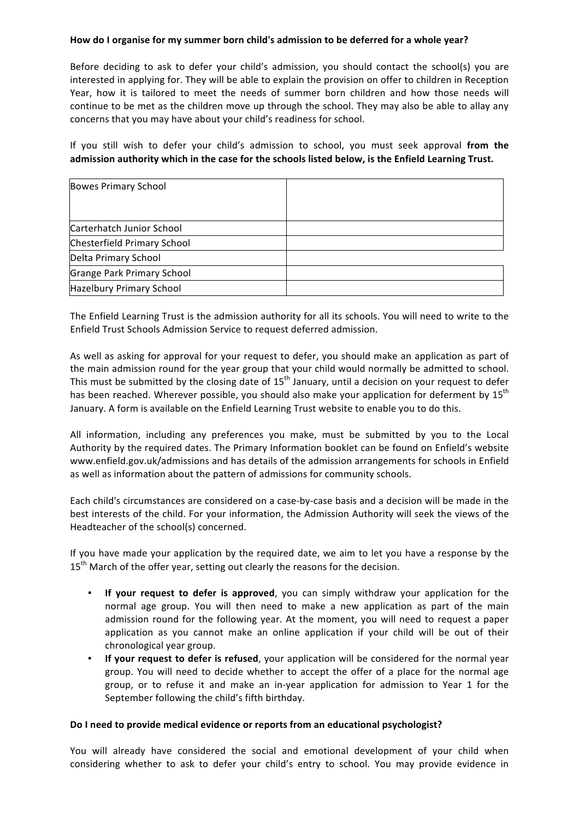# How do I organise for my summer born child's admission to be deferred for a whole year?

Before deciding to ask to defer your child's admission, you should contact the school(s) you are interested in applying for. They will be able to explain the provision on offer to children in Reception Year, how it is tailored to meet the needs of summer born children and how those needs will continue to be met as the children move up through the school. They may also be able to allay any concerns that you may have about your child's readiness for school.

If you still wish to defer your child's admission to school, you must seek approval from the admission authority which in the case for the schools listed below, is the Enfield Learning Trust.

| <b>Bowes Primary School</b> |  |
|-----------------------------|--|
|                             |  |
| Carterhatch Junior School   |  |
| Chesterfield Primary School |  |
| Delta Primary School        |  |
| Grange Park Primary School  |  |
| Hazelbury Primary School    |  |

The Enfield Learning Trust is the admission authority for all its schools. You will need to write to the Enfield Trust Schools Admission Service to request deferred admission.

As well as asking for approval for your request to defer, you should make an application as part of the main admission round for the year group that your child would normally be admitted to school. This must be submitted by the closing date of  $15<sup>th</sup>$  January, until a decision on your request to defer has been reached. Wherever possible, you should also make your application for deferment by  $15<sup>th</sup>$ January. A form is available on the Enfield Learning Trust website to enable you to do this.

All information, including any preferences you make, must be submitted by you to the Local Authority by the required dates. The Primary Information booklet can be found on Enfield's website www.enfield.gov.uk/admissions and has details of the admission arrangements for schools in Enfield as well as information about the pattern of admissions for community schools.

Each child's circumstances are considered on a case-by-case basis and a decision will be made in the best interests of the child. For your information, the Admission Authority will seek the views of the Headteacher of the school(s) concerned.

If you have made your application by the required date, we aim to let you have a response by the 15<sup>th</sup> March of the offer year, setting out clearly the reasons for the decision.

- If your request to defer is approved, you can simply withdraw your application for the normal age group. You will then need to make a new application as part of the main admission round for the following year. At the moment, you will need to request a paper application as you cannot make an online application if your child will be out of their chronological year group.
- If your request to defer is refused, your application will be considered for the normal vear group. You will need to decide whether to accept the offer of a place for the normal age group, or to refuse it and make an in-year application for admission to Year 1 for the September following the child's fifth birthday.

# Do I need to provide medical evidence or reports from an educational psychologist?

You will already have considered the social and emotional development of your child when considering whether to ask to defer your child's entry to school. You may provide evidence in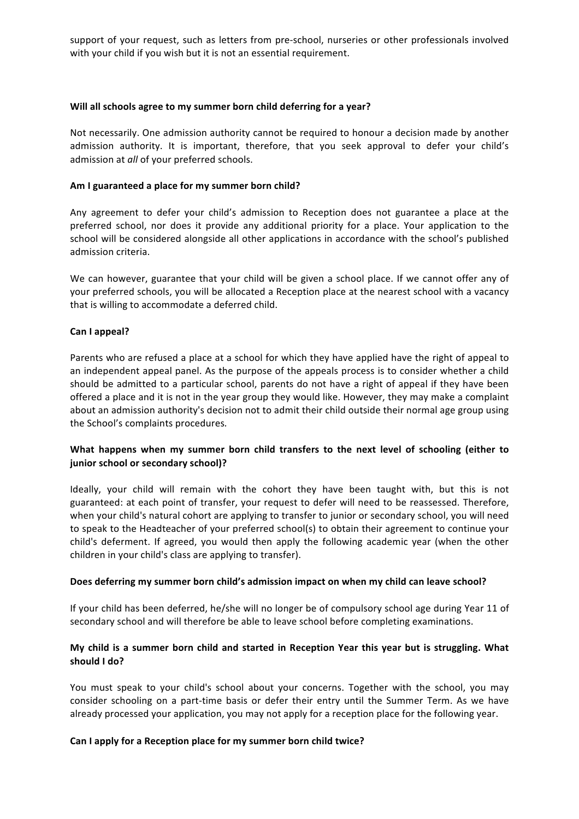support of your request, such as letters from pre-school, nurseries or other professionals involved with your child if you wish but it is not an essential requirement.

# Will all schools agree to my summer born child deferring for a year?

Not necessarily. One admission authority cannot be required to honour a decision made by another admission authority. It is important, therefore, that you seek approval to defer your child's admission at *all* of your preferred schools.

# Am I guaranteed a place for my summer born child?

Any agreement to defer your child's admission to Reception does not guarantee a place at the preferred school, nor does it provide any additional priority for a place. Your application to the school will be considered alongside all other applications in accordance with the school's published admission criteria.

We can however, guarantee that your child will be given a school place. If we cannot offer any of your preferred schools, you will be allocated a Reception place at the nearest school with a vacancy that is willing to accommodate a deferred child.

### Can I appeal?

Parents who are refused a place at a school for which they have applied have the right of appeal to an independent appeal panel. As the purpose of the appeals process is to consider whether a child should be admitted to a particular school, parents do not have a right of appeal if they have been offered a place and it is not in the year group they would like. However, they may make a complaint about an admission authority's decision not to admit their child outside their normal age group using the School's complaints procedures.

# What happens when my summer born child transfers to the next level of schooling (either to **junior school or secondary school)?**

Ideally, your child will remain with the cohort they have been taught with, but this is not guaranteed: at each point of transfer, your request to defer will need to be reassessed. Therefore, when your child's natural cohort are applying to transfer to junior or secondary school, you will need to speak to the Headteacher of your preferred school(s) to obtain their agreement to continue your child's deferment. If agreed, you would then apply the following academic year (when the other children in your child's class are applying to transfer).

#### Does deferring my summer born child's admission impact on when my child can leave school?

If your child has been deferred, he/she will no longer be of compulsory school age during Year 11 of secondary school and will therefore be able to leave school before completing examinations.

# My child is a summer born child and started in Reception Year this year but is struggling. What should I do?

You must speak to your child's school about your concerns. Together with the school, you may consider schooling on a part-time basis or defer their entry until the Summer Term. As we have already processed your application, you may not apply for a reception place for the following year.

# Can I apply for a Reception place for my summer born child twice?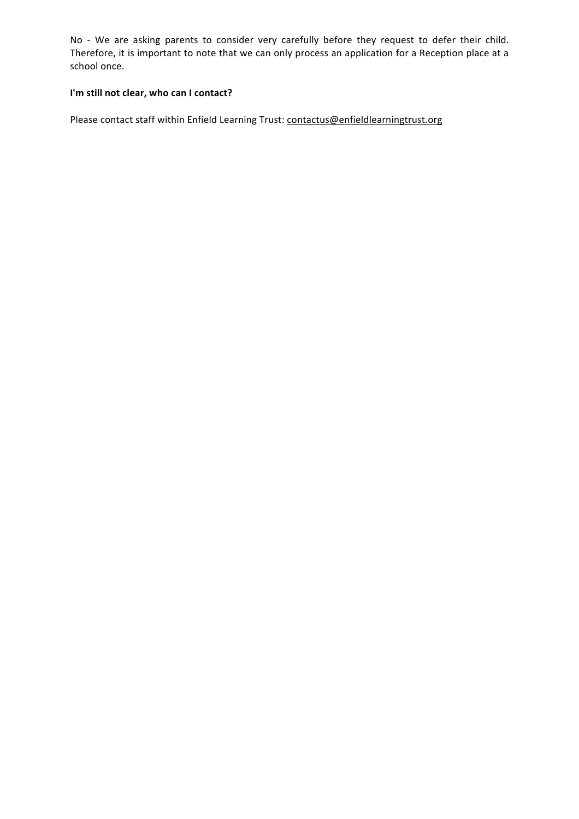No - We are asking parents to consider very carefully before they request to defer their child. Therefore, it is important to note that we can only process an application for a Reception place at a school once.

# I'm still not clear, who can I contact?

Please contact staff within Enfield Learning Trust: contactus@enfieldlearningtrust.org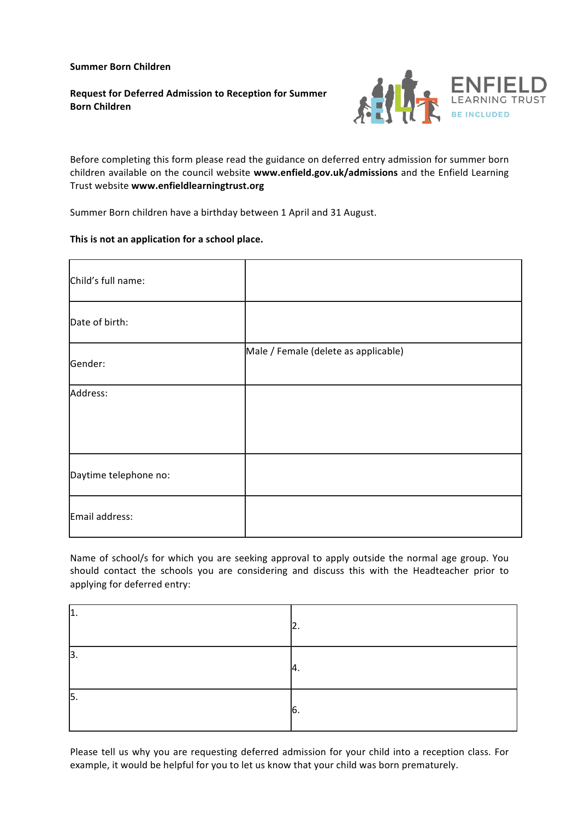**Summer Born Children**

**Request for Deferred Admission to Reception for Summer Born Children**



Before completing this form please read the guidance on deferred entry admission for summer born children available on the council website www.enfield.gov.uk/admissions and the Enfield Learning Trust website **www.enfieldlearningtrust.org**

Summer Born children have a birthday between 1 April and 31 August.

# This is not an application for a school place.

| Child's full name:    |                                      |
|-----------------------|--------------------------------------|
| Date of birth:        |                                      |
| Gender:               | Male / Female (delete as applicable) |
| Address:              |                                      |
|                       |                                      |
| Daytime telephone no: |                                      |
| Email address:        |                                      |

Name of school/s for which you are seeking approval to apply outside the normal age group. You should contact the schools you are considering and discuss this with the Headteacher prior to applying for deferred entry:

| л<br>ᇿ. |     |
|---------|-----|
| 3       | -4. |
| 15.     | IO. |

Please tell us why you are requesting deferred admission for your child into a reception class. For example, it would be helpful for you to let us know that your child was born prematurely.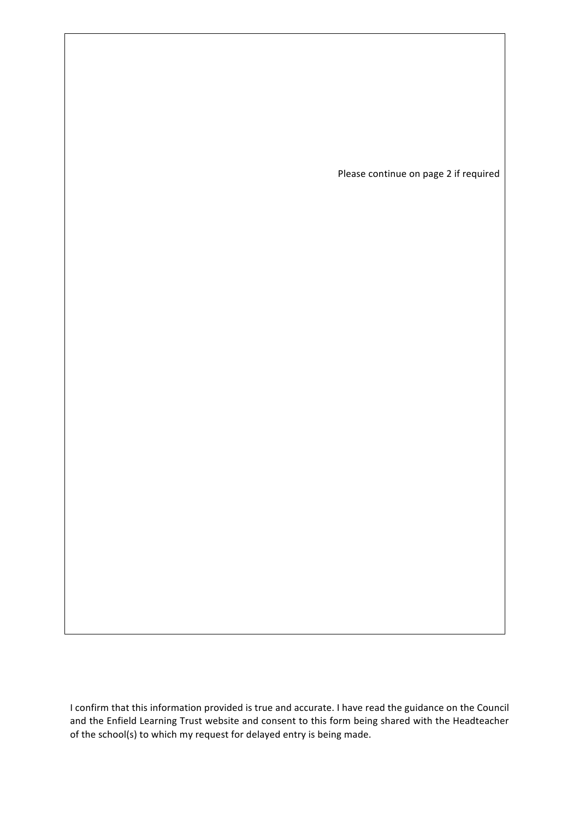Please continue on page 2 if required

I confirm that this information provided is true and accurate. I have read the guidance on the Council and the Enfield Learning Trust website and consent to this form being shared with the Headteacher of the school(s) to which my request for delayed entry is being made.